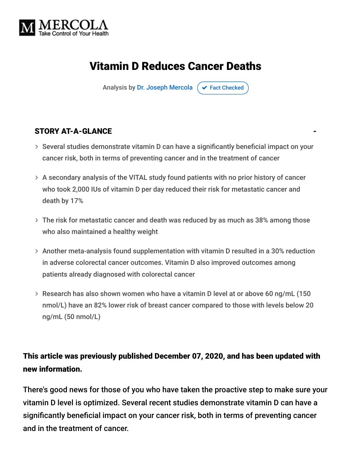

## Vitamin D Reduces Cancer Deaths

Analysis by [Dr. Joseph Mercola](https://www.mercola.com/forms/background.htm)  $\sigma$  [Fact Checked](javascript:void(0))

#### STORY AT-A-GLANCE

- $>$  Several studies demonstrate vitamin D can have a significantly beneficial impact on your cancer risk, both in terms of preventing cancer and in the treatment of cancer
- A secondary analysis of the VITAL study found patients with no prior history of cancer who took 2,000 IUs of vitamin D per day reduced their risk for metastatic cancer and death by 17%
- The risk for metastatic cancer and death was reduced by as much as 38% among those who also maintained a healthy weight
- Another meta-analysis found supplementation with vitamin D resulted in a 30% reduction in adverse colorectal cancer outcomes. Vitamin D also improved outcomes among patients already diagnosed with colorectal cancer
- Research has also shown women who have a vitamin D level at or above 60 ng/mL (150 nmol/L) have an 82% lower risk of breast cancer compared to those with levels below 20 ng/mL (50 nmol/L)

#### This article was previously published December 07, 2020, and has been updated with new information.

There's good news for those of you who have taken the proactive step to make sure your vitamin D level is optimized. Several recent studies demonstrate vitamin D can have a significantly beneficial impact on your cancer risk, both in terms of preventing cancer and in the treatment of cancer.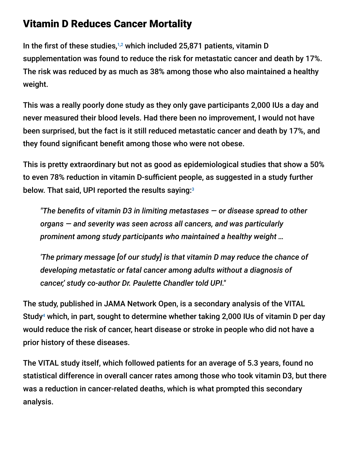#### Vitamin D Reduces Cancer Mortality

In the first of these studies, $1,2$  which included 25,871 patients, vitamin D supplementation was found to reduce the risk for metastatic cancer and death by 17%. The risk was reduced by as much as 38% among those who also maintained a healthy weight.

This was a really poorly done study as they only gave participants 2,000 IUs a day and never measured their blood levels. Had there been no improvement, I would not have been surprised, but the fact is it still reduced metastatic cancer and death by 17%, and they found significant benefit among those who were not obese.

This is pretty extraordinary but not as good as epidemiological studies that show a 50% to even 78% reduction in vitamin D-sufficient people, as suggested in a study further below. That said, UPI reported the results saying: 3

*"The benefits of vitamin D3 in limiting metastases — or disease spread to other organs — and severity was seen across all cancers, and was particularly prominent among study participants who maintained a healthy weight …*

*'The primary message [of our study] is that vitamin D may reduce the chance of developing metastatic or fatal cancer among adults without a diagnosis of cancer,' study co-author Dr. Paulette Chandler told UPI."*

The study, published in JAMA Network Open, is a secondary analysis of the VITAL Study<sup>4</sup> which, in part, sought to determine whether taking 2,000 IUs of vitamin D per day would reduce the risk of cancer, heart disease or stroke in people who did not have a prior history of these diseases.

The VITAL study itself, which followed patients for an average of 5.3 years, found no statistical difference in overall cancer rates among those who took vitamin D3, but there was a reduction in cancer-related deaths, which is what prompted this secondary analysis.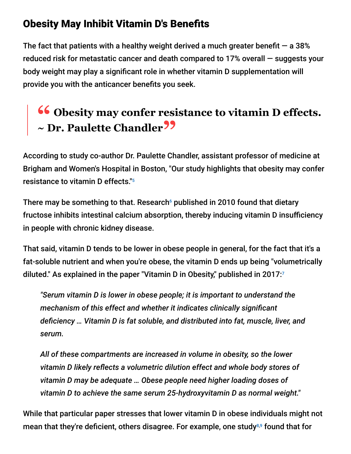#### Obesity May Inhibit Vitamin D's Benefits

The fact that patients with a healthy weight derived a much greater benefit  $-$  a 38% reduced risk for metastatic cancer and death compared to 17% overall — suggests your body weight may play a significant role in whether vitamin D supplementation will provide you with the anticancer benefits you seek.

# **<sup>66</sup>** Obesity may confer resistance to vitamin D effects.<br>
~ Dr. Paulette Chandler<sup>99</sup> **~ Dr. Paulette Chandler"**

According to study co-author Dr. Paulette Chandler, assistant professor of medicine at Brigham and Women's Hospital in Boston, "Our study highlights that obesity may confer resistance to vitamin D effects." 5

There may be something to that. Research $\mathstrut^6$  published in 2010 found that dietary fructose inhibits intestinal calcium absorption, thereby inducing vitamin D insufficiency in people with chronic kidney disease.

That said, vitamin D tends to be lower in obese people in general, for the fact that it's a fat-soluble nutrient and when you're obese, the vitamin D ends up being "volumetrically diluted." As explained in the paper "Vitamin D in Obesity," published in 2017: 7

*"Serum vitamin D is lower in obese people; it is important to understand the mechanism of this effect and whether it indicates clinically significant deficiency … Vitamin D is fat soluble, and distributed into fat, muscle, liver, and serum.*

*All of these compartments are increased in volume in obesity, so the lower vitamin D likely reflects a volumetric dilution effect and whole body stores of vitamin D may be adequate … Obese people need higher loading doses of vitamin D to achieve the same serum 25-hydroxyvitamin D as normal weight."*

While that particular paper stresses that lower vitamin D in obese individuals might not mean that they're deficient, others disagree. For example, one study<sup>8,9</sup> found that for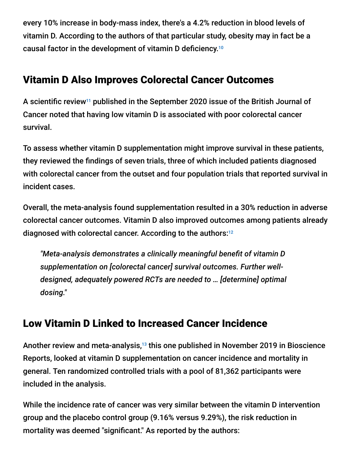every 10% increase in body-mass index, there's a 4.2% reduction in blood levels of vitamin D. According to the authors of that particular study, obesity may in fact be a causal factor in the development of vitamin D deficiency. 10

#### Vitamin D Also Improves Colorectal Cancer Outcomes

A scientific review<sup>11</sup> published in the September 2020 issue of the British Journal of Cancer noted that having low vitamin D is associated with poor colorectal cancer survival.

To assess whether vitamin D supplementation might improve survival in these patients, they reviewed the findings of seven trials, three of which included patients diagnosed with colorectal cancer from the outset and four population trials that reported survival in incident cases.

Overall, the meta-analysis found supplementation resulted in a 30% reduction in adverse colorectal cancer outcomes. Vitamin D also improved outcomes among patients already diagnosed with colorectal cancer. According to the authors: 12

*"Meta-analysis demonstrates a clinically meaningful benefit of vitamin D supplementation on [colorectal cancer] survival outcomes. Further welldesigned, adequately powered RCTs are needed to … [determine] optimal dosing."*

## Low Vitamin D Linked to Increased Cancer Incidence

Another review and meta-analysis,<sup>13</sup> this one published in November 2019 in Bioscience Reports, looked at vitamin D supplementation on cancer incidence and mortality in general. Ten randomized controlled trials with a pool of 81,362 participants were included in the analysis.

While the incidence rate of cancer was very similar between the vitamin D intervention group and the placebo control group (9.16% versus 9.29%), the risk reduction in mortality was deemed "significant." As reported by the authors: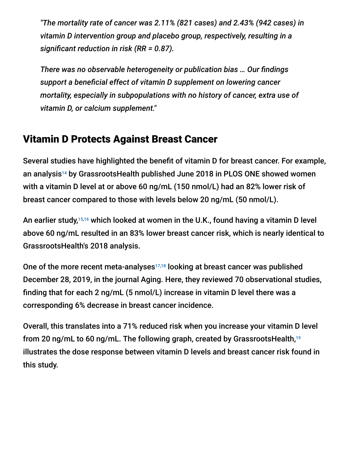*"The mortality rate of cancer was 2.11% (821 cases) and 2.43% (942 cases) in vitamin D intervention group and placebo group, respectively, resulting in a significant reduction in risk (RR = 0.87).*

*There was no observable heterogeneity or publication bias … Our findings support a beneficial effect of vitamin D supplement on lowering cancer mortality, especially in subpopulations with no history of cancer, extra use of vitamin D, or calcium supplement."*

#### Vitamin D Protects Against Breast Cancer

Several studies have highlighted the benefit of vitamin D for breast cancer. For example, an analysis<sup>14</sup> by GrassrootsHealth published June 2018 in PLOS ONE showed women with a vitamin D level at or above 60 ng/mL (150 nmol/L) had an 82% lower risk of breast cancer compared to those with levels below 20 ng/mL (50 nmol/L).

An earlier study,<sup>15,16</sup> which looked at women in the U.K., found having a vitamin D level above 60 ng/mL resulted in an 83% lower breast cancer risk, which is nearly identical to GrassrootsHealth's 2018 analysis.

One of the more recent meta-analyses $17,18$  looking at breast cancer was published December 28, 2019, in the journal Aging. Here, they reviewed 70 observational studies, finding that for each 2 ng/mL (5 nmol/L) increase in vitamin D level there was a corresponding 6% decrease in breast cancer incidence.

Overall, this translates into a 71% reduced risk when you increase your vitamin D level from 20 ng/mL to 60 ng/mL. The following graph, created by GrassrootsHealth, 19illustrates the dose response between vitamin D levels and breast cancer risk found in this study.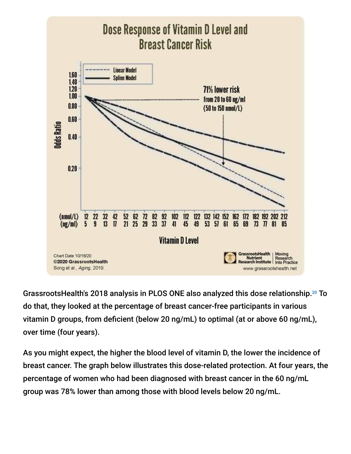

GrassrootsHealth's 2018 analysis in PLOS ONE also analyzed this dose relationship.<sup>20</sup> To do that, they looked at the percentage of breast cancer-free participants in various vitamin D groups, from deficient (below 20 ng/mL) to optimal (at or above 60 ng/mL), over time (four years).

As you might expect, the higher the blood level of vitamin D, the lower the incidence of breast cancer. The graph below illustrates this dose-related protection. At four years, the percentage of women who had been diagnosed with breast cancer in the 60 ng/mL group was 78% lower than among those with blood levels below 20 ng/mL.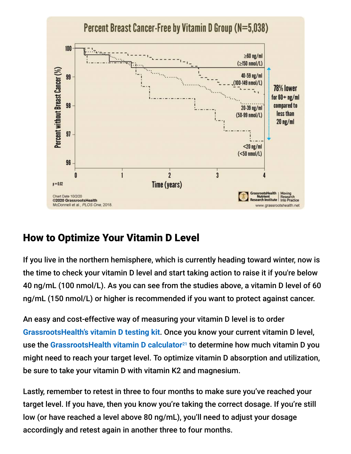

## How to Optimize Your Vitamin D Level

If you live in the northern hemisphere, which is currently heading toward winter, now is the time to check your vitamin D level and start taking action to raise it if you're below 40 ng/mL (100 nmol/L). As you can see from the studies above, a vitamin D level of 60 ng/mL (150 nmol/L) or higher is recommended if you want to protect against cancer.

An easy and cost-effective way of measuring your vitamin D level is to order **[GrassrootsHealth's vitamin D testing kit](https://daction.grassrootshealth.net/product/vitamin-d-home-test-kit/)**. Once you know your current vitamin D level, use the [GrassrootsHealth vitamin D calculator](https://www.grassrootshealth.net/project/dcalculator/)<sup>21</sup> to determine how much vitamin D you might need to reach your target level. To optimize vitamin D absorption and utilization, be sure to take your vitamin D with vitamin K2 and magnesium.

Lastly, remember to retest in three to four months to make sure you've reached your target level. If you have, then you know you're taking the correct dosage. If you're still low (or have reached a level above 80 ng/mL), you'll need to adjust your dosage accordingly and retest again in another three to four months.